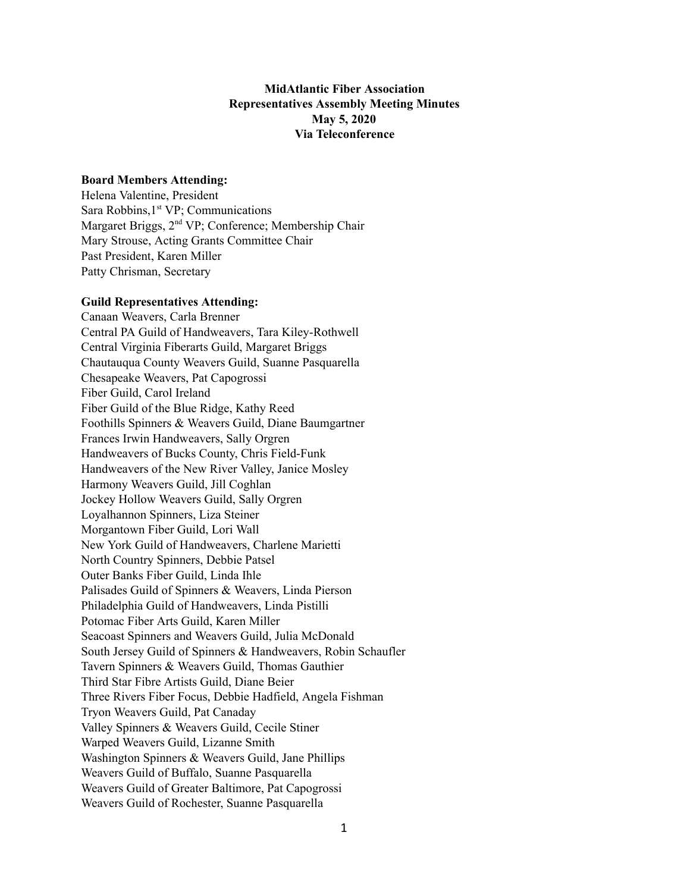# **MidAtlantic Fiber Association Representatives Assembly Meeting Minutes May 5, 2020 Via Teleconference**

## **Board Members Attending:**

Helena Valentine, President Sara Robbins, 1<sup>st</sup> VP; Communications Margaret Briggs, 2<sup>nd</sup> VP; Conference; Membership Chair Mary Strouse, Acting Grants Committee Chair Past President, Karen Miller Patty Chrisman, Secretary

#### **Guild Representatives Attending:**

Canaan Weavers, Carla Brenner Central PA Guild of Handweavers, Tara Kiley-Rothwell Central Virginia Fiberarts Guild, Margaret Briggs Chautauqua County Weavers Guild, Suanne Pasquarella Chesapeake Weavers, Pat Capogrossi Fiber Guild, Carol Ireland Fiber Guild of the Blue Ridge, Kathy Reed Foothills Spinners & Weavers Guild, Diane Baumgartner Frances Irwin Handweavers, Sally Orgren Handweavers of Bucks County, Chris Field-Funk Handweavers of the New River Valley, Janice Mosley Harmony Weavers Guild, Jill Coghlan Jockey Hollow Weavers Guild, Sally Orgren Loyalhannon Spinners, Liza Steiner Morgantown Fiber Guild, Lori Wall New York Guild of Handweavers, Charlene Marietti North Country Spinners, Debbie Patsel Outer Banks Fiber Guild, Linda Ihle Palisades Guild of Spinners & Weavers, Linda Pierson Philadelphia Guild of Handweavers, Linda Pistilli Potomac Fiber Arts Guild, Karen Miller Seacoast Spinners and Weavers Guild, Julia McDonald South Jersey Guild of Spinners & Handweavers, Robin Schaufler Tavern Spinners & Weavers Guild, Thomas Gauthier Third Star Fibre Artists Guild, Diane Beier Three Rivers Fiber Focus, Debbie Hadfield, Angela Fishman Tryon Weavers Guild, Pat Canaday Valley Spinners & Weavers Guild, Cecile Stiner Warped Weavers Guild, Lizanne Smith Washington Spinners & Weavers Guild, Jane Phillips Weavers Guild of Buffalo, Suanne Pasquarella Weavers Guild of Greater Baltimore, Pat Capogrossi Weavers Guild of Rochester, Suanne Pasquarella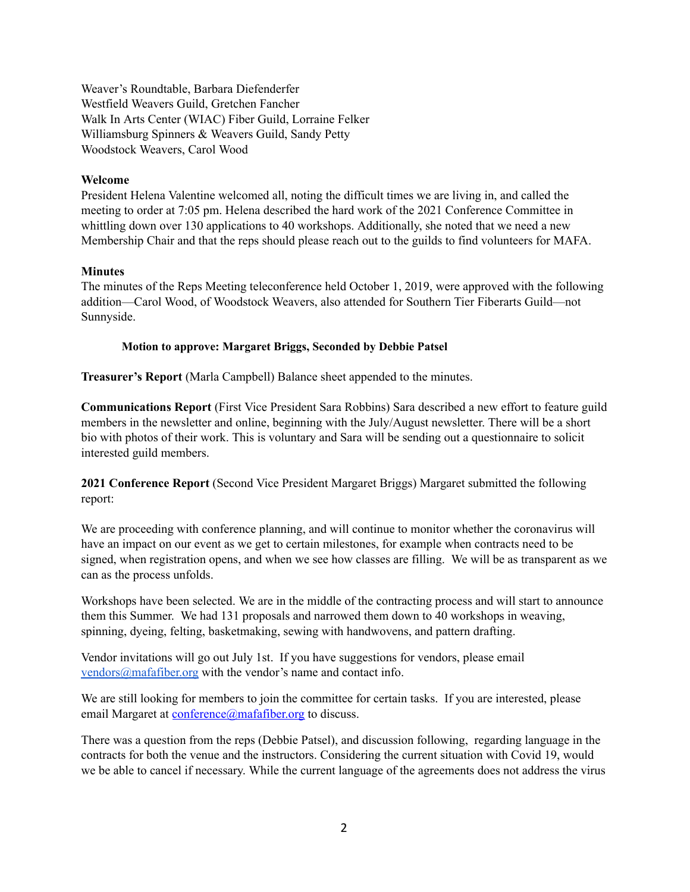Weaver's Roundtable, Barbara Diefenderfer Westfield Weavers Guild, Gretchen Fancher Walk In Arts Center (WIAC) Fiber Guild, Lorraine Felker Williamsburg Spinners & Weavers Guild, Sandy Petty Woodstock Weavers, Carol Wood

### **Welcome**

President Helena Valentine welcomed all, noting the difficult times we are living in, and called the meeting to order at 7:05 pm. Helena described the hard work of the 2021 Conference Committee in whittling down over 130 applications to 40 workshops. Additionally, she noted that we need a new Membership Chair and that the reps should please reach out to the guilds to find volunteers for MAFA.

#### **Minutes**

The minutes of the Reps Meeting teleconference held October 1, 2019, were approved with the following addition—Carol Wood, of Woodstock Weavers, also attended for Southern Tier Fiberarts Guild—not Sunnyside.

### **Motion to approve: Margaret Briggs, Seconded by Debbie Patsel**

**Treasurer's Report** (Marla Campbell) Balance sheet appended to the minutes.

**Communications Report** (First Vice President Sara Robbins) Sara described a new effort to feature guild members in the newsletter and online, beginning with the July/August newsletter. There will be a short bio with photos of their work. This is voluntary and Sara will be sending out a questionnaire to solicit interested guild members.

**2021 Conference Report** (Second Vice President Margaret Briggs) Margaret submitted the following report:

We are proceeding with conference planning, and will continue to monitor whether the coronavirus will have an impact on our event as we get to certain milestones, for example when contracts need to be signed, when registration opens, and when we see how classes are filling. We will be as transparent as we can as the process unfolds.

Workshops have been selected. We are in the middle of the contracting process and will start to announce them this Summer. We had 131 proposals and narrowed them down to 40 workshops in weaving, spinning, dyeing, felting, basketmaking, sewing with handwovens, and pattern drafting.

Vendor invitations will go out July 1st. If you have suggestions for vendors, please email [vendors@mafafiber.org](mailto:vendors@mafafiber.org) with the vendor's name and contact info.

We are still looking for members to join the committee for certain tasks. If you are interested, please email Margaret at [conference@mafafiber.org](mailto:conference@mafafiber.org) to discuss.

There was a question from the reps (Debbie Patsel), and discussion following, regarding language in the contracts for both the venue and the instructors. Considering the current situation with Covid 19, would we be able to cancel if necessary. While the current language of the agreements does not address the virus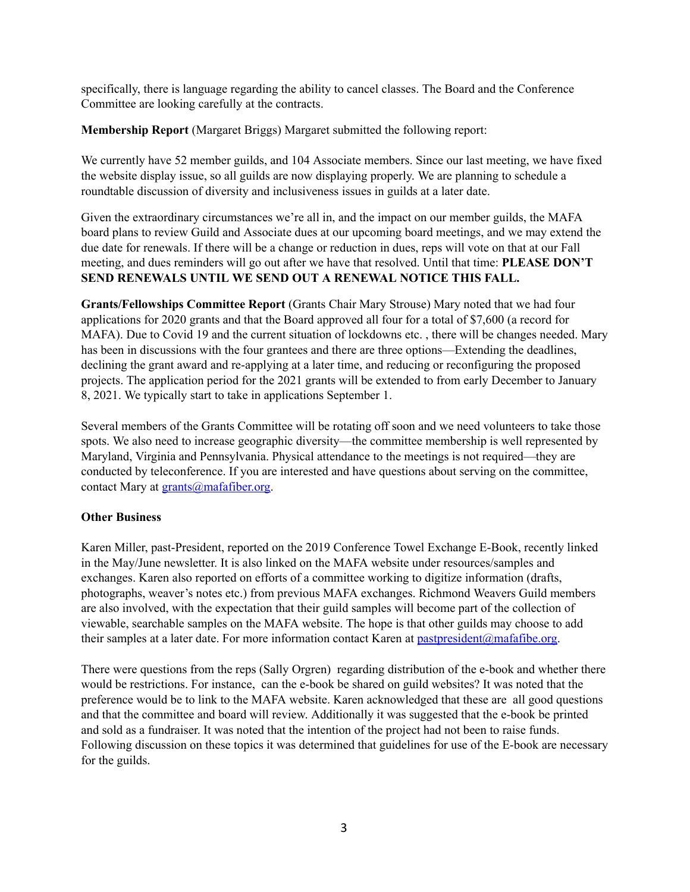specifically, there is language regarding the ability to cancel classes. The Board and the Conference Committee are looking carefully at the contracts.

**Membership Report** (Margaret Briggs) Margaret submitted the following report:

We currently have 52 member guilds, and 104 Associate members. Since our last meeting, we have fixed the website display issue, so all guilds are now displaying properly. We are planning to schedule a roundtable discussion of diversity and inclusiveness issues in guilds at a later date.

Given the extraordinary circumstances we're all in, and the impact on our member guilds, the MAFA board plans to review Guild and Associate dues at our upcoming board meetings, and we may extend the due date for renewals. If there will be a change or reduction in dues, reps will vote on that at our Fall meeting, and dues reminders will go out after we have that resolved. Until that time: **PLEASE DON'T SEND RENEWALS UNTIL WE SEND OUT A RENEWAL NOTICE THIS FALL.**

**Grants/Fellowships Committee Report** (Grants Chair Mary Strouse) Mary noted that we had four applications for 2020 grants and that the Board approved all four for a total of \$7,600 (a record for MAFA). Due to Covid 19 and the current situation of lockdowns etc. , there will be changes needed. Mary has been in discussions with the four grantees and there are three options—Extending the deadlines, declining the grant award and re-applying at a later time, and reducing or reconfiguring the proposed projects. The application period for the 2021 grants will be extended to from early December to January 8, 2021. We typically start to take in applications September 1.

Several members of the Grants Committee will be rotating off soon and we need volunteers to take those spots. We also need to increase geographic diversity—the committee membership is well represented by Maryland, Virginia and Pennsylvania. Physical attendance to the meetings is not required—they are conducted by teleconference. If you are interested and have questions about serving on the committee, contact Mary at  $grants@$  mafafiber.org.

# **Other Business**

Karen Miller, past-President, reported on the 2019 Conference Towel Exchange E-Book, recently linked in the May/June newsletter. It is also linked on the MAFA website under resources/samples and exchanges. Karen also reported on efforts of a committee working to digitize information (drafts, photographs, weaver's notes etc.) from previous MAFA exchanges. Richmond Weavers Guild members are also involved, with the expectation that their guild samples will become part of the collection of viewable, searchable samples on the MAFA website. The hope is that other guilds may choose to add their samples at a later date. For more information contact Karen at [pastpresident@mafafibe.org.](mailto:pastpresident@mafafibe.org)

There were questions from the reps (Sally Orgren) regarding distribution of the e-book and whether there would be restrictions. For instance, can the e-book be shared on guild websites? It was noted that the preference would be to link to the MAFA website. Karen acknowledged that these are all good questions and that the committee and board will review. Additionally it was suggested that the e-book be printed and sold as a fundraiser. It was noted that the intention of the project had not been to raise funds. Following discussion on these topics it was determined that guidelines for use of the E-book are necessary for the guilds.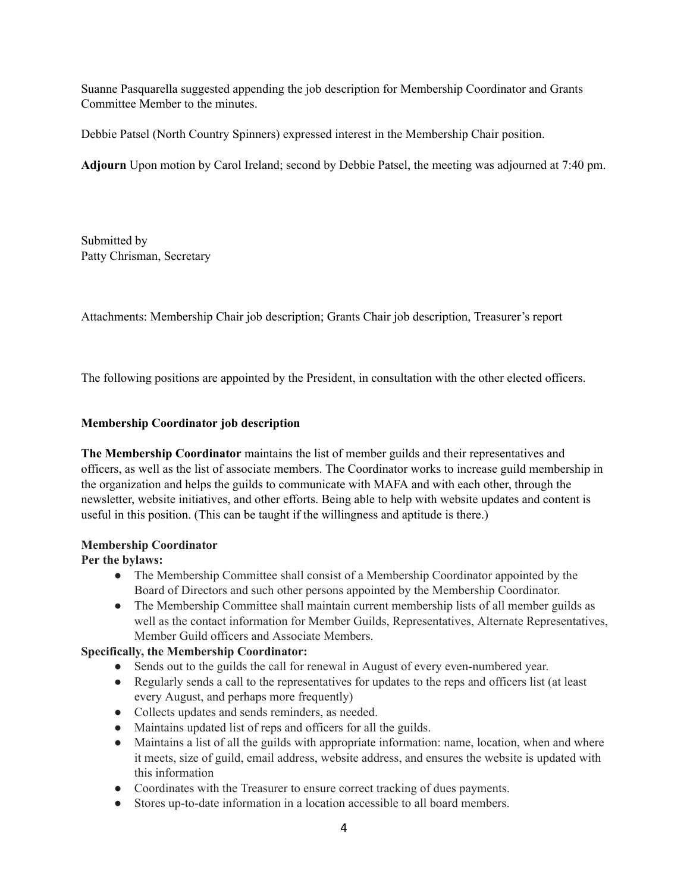Suanne Pasquarella suggested appending the job description for Membership Coordinator and Grants Committee Member to the minutes.

Debbie Patsel (North Country Spinners) expressed interest in the Membership Chair position.

**Adjourn** Upon motion by Carol Ireland; second by Debbie Patsel, the meeting was adjourned at 7:40 pm.

Submitted by Patty Chrisman, Secretary

Attachments: Membership Chair job description; Grants Chair job description, Treasurer's report

The following positions are appointed by the President, in consultation with the other elected officers.

# **Membership Coordinator job description**

**The Membership Coordinator** maintains the list of member guilds and their representatives and officers, as well as the list of associate members. The Coordinator works to increase guild membership in the organization and helps the guilds to communicate with MAFA and with each other, through the newsletter, website initiatives, and other efforts. Being able to help with website updates and content is useful in this position. (This can be taught if the willingness and aptitude is there.)

### **Membership Coordinator**

### **Per the bylaws:**

- The Membership Committee shall consist of a Membership Coordinator appointed by the Board of Directors and such other persons appointed by the Membership Coordinator.
- The Membership Committee shall maintain current membership lists of all member guilds as well as the contact information for Member Guilds, Representatives, Alternate Representatives, Member Guild officers and Associate Members.

# **Specifically, the Membership Coordinator:**

- Sends out to the guilds the call for renewal in August of every even-numbered year.
- Regularly sends a call to the representatives for updates to the reps and officers list (at least every August, and perhaps more frequently)
- Collects updates and sends reminders, as needed.
- Maintains updated list of reps and officers for all the guilds.
- Maintains a list of all the guilds with appropriate information: name, location, when and where it meets, size of guild, email address, website address, and ensures the website is updated with this information
- Coordinates with the Treasurer to ensure correct tracking of dues payments.
- Stores up-to-date information in a location accessible to all board members.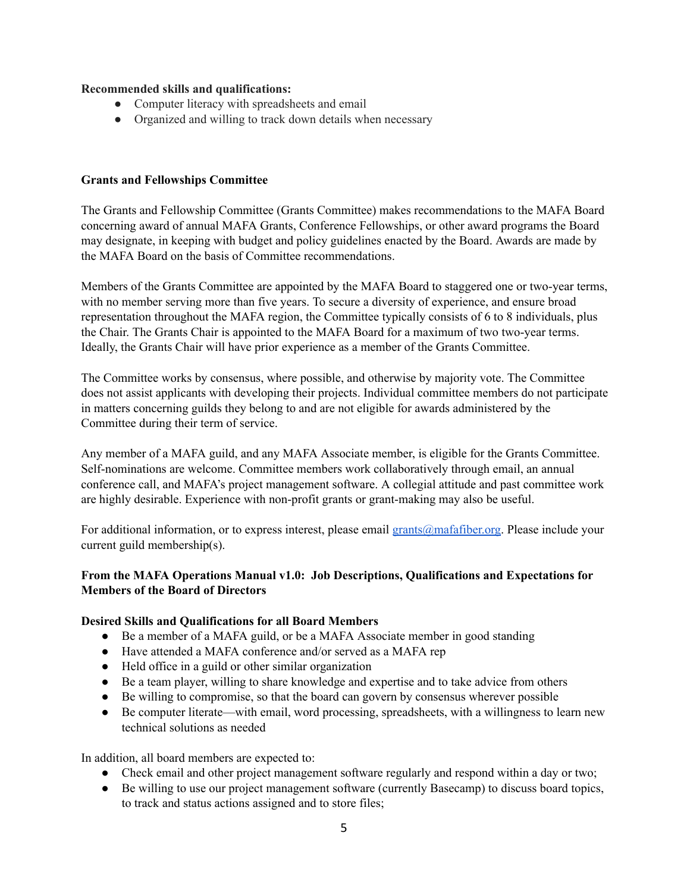### **Recommended skills and qualifications:**

- Computer literacy with spreadsheets and email
- Organized and willing to track down details when necessary

### **Grants and Fellowships Committee**

The Grants and Fellowship Committee (Grants Committee) makes recommendations to the MAFA Board concerning award of annual MAFA Grants, Conference Fellowships, or other award programs the Board may designate, in keeping with budget and policy guidelines enacted by the Board. Awards are made by the MAFA Board on the basis of Committee recommendations.

Members of the Grants Committee are appointed by the MAFA Board to staggered one or two-year terms, with no member serving more than five years. To secure a diversity of experience, and ensure broad representation throughout the MAFA region, the Committee typically consists of 6 to 8 individuals, plus the Chair. The Grants Chair is appointed to the MAFA Board for a maximum of two two-year terms. Ideally, the Grants Chair will have prior experience as a member of the Grants Committee.

The Committee works by consensus, where possible, and otherwise by majority vote. The Committee does not assist applicants with developing their projects. Individual committee members do not participate in matters concerning guilds they belong to and are not eligible for awards administered by the Committee during their term of service.

Any member of a MAFA guild, and any MAFA Associate member, is eligible for the Grants Committee. Self-nominations are welcome. Committee members work collaboratively through email, an annual conference call, and MAFA's project management software. A collegial attitude and past committee work are highly desirable. Experience with non-profit grants or grant-making may also be useful.

For additional information, or to express interest, please email [grants@mafafiber.org.](mailto:grants@mafafiber.org) Please include your current guild membership(s).

# **From the MAFA Operations Manual v1.0: Job Descriptions, Qualifications and Expectations for Members of the Board of Directors**

### **Desired Skills and Qualifications for all Board Members**

- Be a member of a MAFA guild, or be a MAFA Associate member in good standing
- Have attended a MAFA conference and/or served as a MAFA rep
- Held office in a guild or other similar organization
- Be a team player, willing to share knowledge and expertise and to take advice from others
- Be willing to compromise, so that the board can govern by consensus wherever possible
- Be computer literate—with email, word processing, spreadsheets, with a willingness to learn new technical solutions as needed

In addition, all board members are expected to:

- Check email and other project management software regularly and respond within a day or two;
- Be willing to use our project management software (currently Basecamp) to discuss board topics, to track and status actions assigned and to store files;